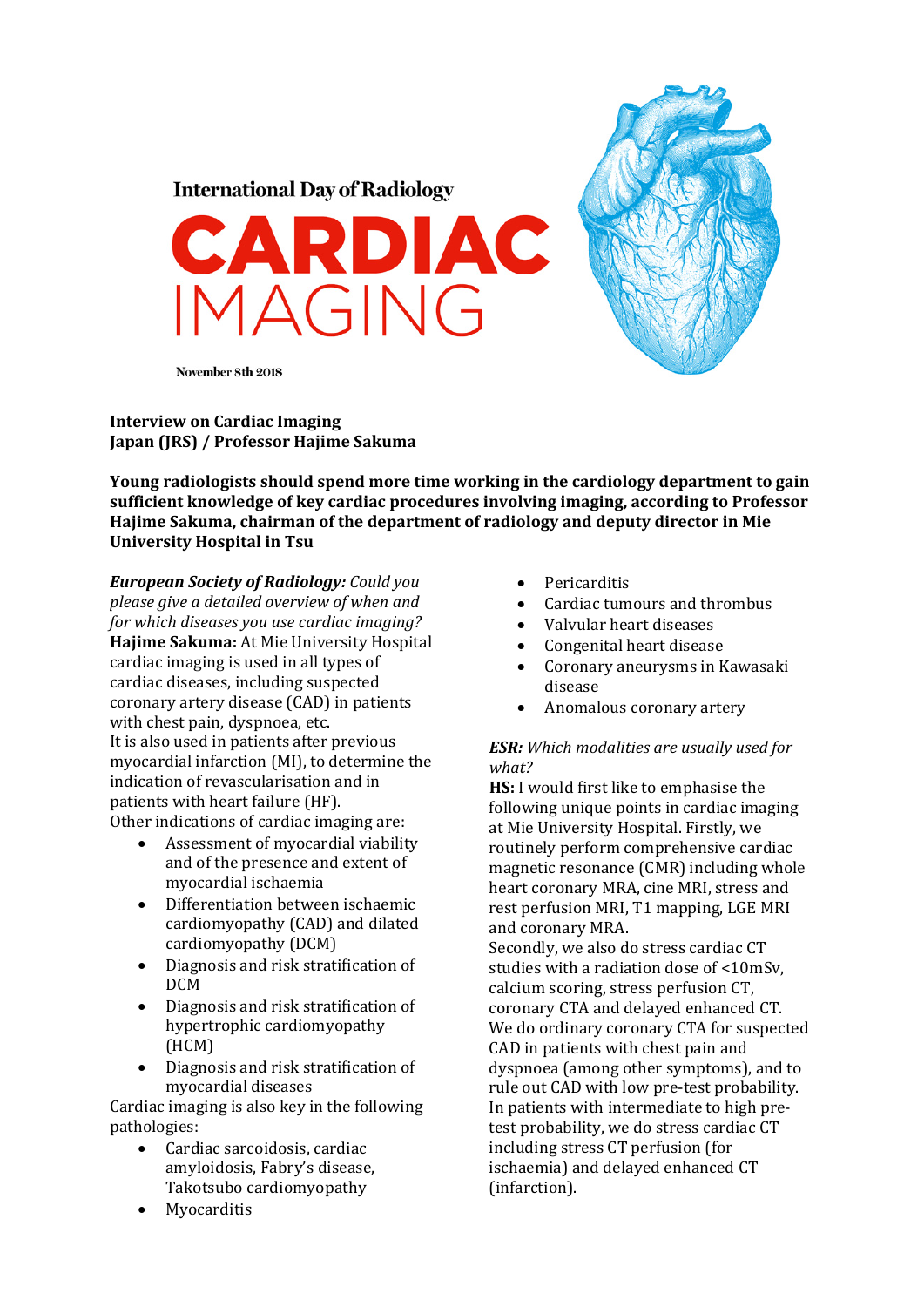



November 8th 2018

## **Interview on Cardiac Imaging Japan (JRS) / Professor Hajime Sakuma**

**Young radiologists should spend more time working in the cardiology department to gain sufficient knowledge of key cardiac procedures involving imaging, according to Professor Hajime Sakuma, chairman of the department of radiology and deputy director in Mie University Hospital in Tsu**

*European Society of Radiology: Could you please give a detailed overview of when and for which diseases you use cardiac imaging?* **Hajime Sakuma:** At Mie University Hospital cardiac imaging is used in all types of cardiac diseases, including suspected coronary artery disease (CAD) in patients with chest pain, dyspnoea, etc. It is also used in patients after previous mvocardial infarction (MI), to determine the indication of revascularisation and in patients with heart failure (HF). Other indications of cardiac imaging are:

- $\bullet$  Assessment of myocardial viability and of the presence and extent of myocardial ischaemia
- Differentiation between ischaemic cardiomyopathy (CAD) and dilated cardiomyopathy (DCM)
- Diagnosis and risk stratification of DCM
- Diagnosis and risk stratification of hypertrophic cardiomyopathy (HCM)
- Diagnosis and risk stratification of myocardial diseases

Cardiac imaging is also key in the following pathologies: 

- Cardiac sarcoidosis, cardiac amyloidosis, Fabry's disease, Takotsubo cardiomyopathy
- Myocarditis
- Pericarditis
- Cardiac tumours and thrombus
- Valvular heart diseases
- Congenital heart disease
- Coronary aneurysms in Kawasaki disease
- Anomalous coronary artery

## *ESR: Which modalities are usually used for what?*

**HS:** I would first like to emphasise the following unique points in cardiac imaging at Mie University Hospital. Firstly, we routinely perform comprehensive cardiac magnetic resonance (CMR) including whole heart coronary MRA, cine MRI, stress and rest perfusion MRI, T1 mapping, LGE MRI and coronary MRA.

Secondly, we also do stress cardiac CT studies with a radiation dose of <10mSv. calcium scoring, stress perfusion CT, coronary CTA and delayed enhanced CT. We do ordinary coronary CTA for suspected CAD in patients with chest pain and dyspnoea (among other symptoms), and to rule out CAD with low pre-test probability. In patients with intermediate to high pretest probability, we do stress cardiac CT including stress CT perfusion (for ischaemia) and delayed enhanced CT (infarction).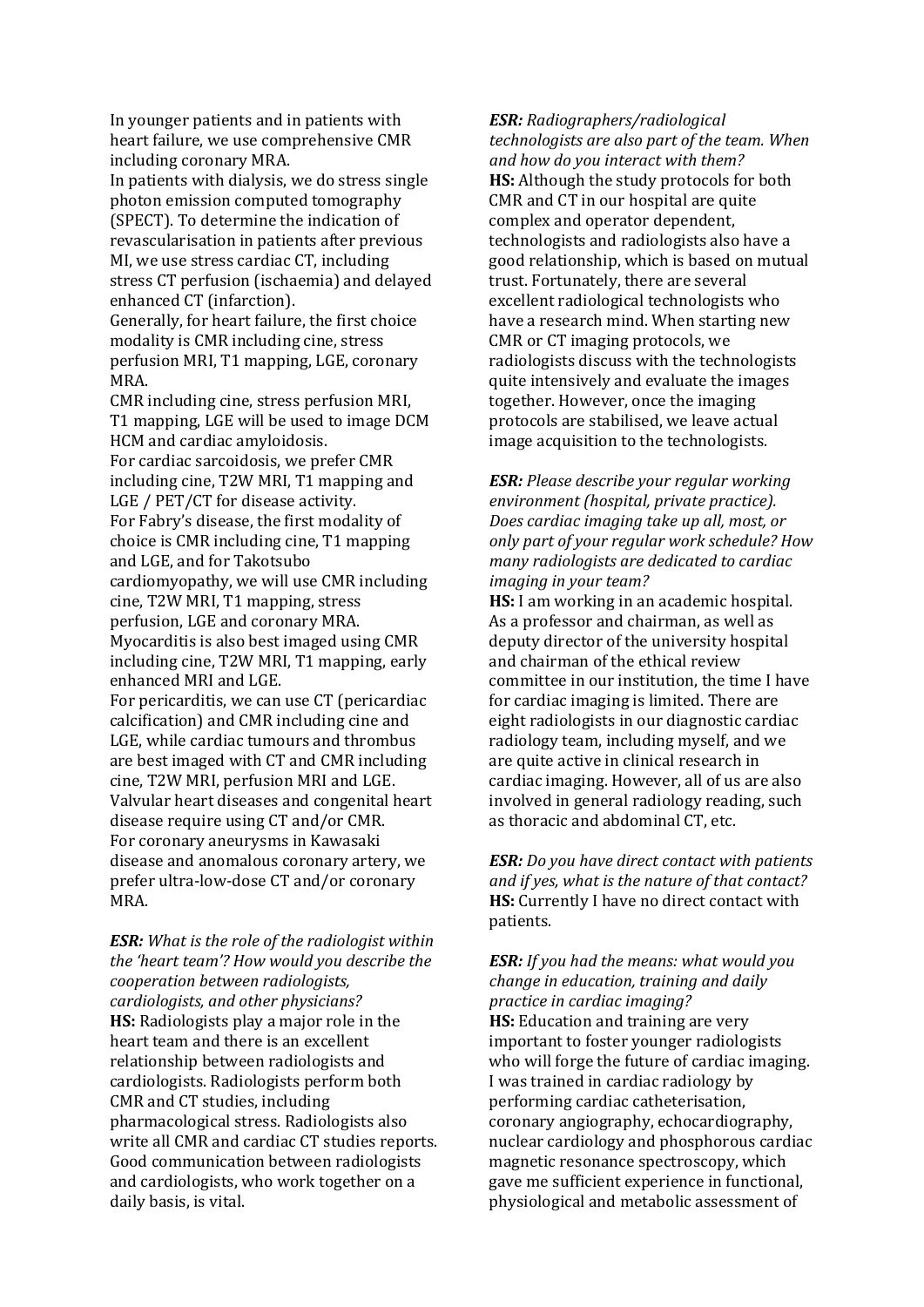In younger patients and in patients with heart failure, we use comprehensive CMR including coronary MRA.

In patients with dialysis, we do stress single photon emission computed tomography (SPECT). To determine the indication of revascularisation in patients after previous MI, we use stress cardiac CT, including stress CT perfusion (ischaemia) and delayed enhanced CT (infarction).

Generally, for heart failure, the first choice modality is CMR including cine, stress perfusion MRI, T1 mapping, LGE, coronary MRA. 

CMR including cine, stress perfusion MRI, T1 mapping, LGE will be used to image DCM HCM and cardiac amyloidosis. For cardiac sarcoidosis, we prefer CMR including cine, T2W MRI, T1 mapping and LGE / PET/CT for disease activity. For Fabry's disease, the first modality of choice is CMR including cine, T1 mapping and LGE, and for Takotsubo cardiomyopathy, we will use CMR including cine, T2W MRI, T1 mapping, stress perfusion, LGE and coronary MRA. Myocarditis is also best imaged using CMR including cine, T2W MRI, T1 mapping, early enhanced MRI and LGE. For pericarditis, we can use CT (pericardiac calcification) and CMR including cine and LGE, while cardiac tumours and thrombus are best imaged with CT and CMR including cine, T2W MRI, perfusion MRI and LGE. Valvular heart diseases and congenital heart disease require using CT and/or CMR.

For coronary aneurysms in Kawasaki disease and anomalous coronary artery, we prefer ultra-low-dose CT and/or coronary MRA. 

*ESR: What is the role of the radiologist within the 'heart team'? How would you describe the cooperation between radiologists, cardiologists, and other physicians?* **HS:** Radiologists play a major role in the heart team and there is an excellent relationship between radiologists and cardiologists. Radiologists perform both CMR and CT studies, including pharmacological stress. Radiologists also write all CMR and cardiac CT studies reports. Good communication between radiologists and cardiologists, who work together on a daily basis, is vital.

*ESR: Radiographers/radiological technologists are also part of the team. When and how do you interact with them?* **HS:** Although the study protocols for both CMR and CT in our hospital are quite complex and operator dependent, technologists and radiologists also have a good relationship, which is based on mutual trust. Fortunately, there are several excellent radiological technologists who have a research mind. When starting new CMR or CT imaging protocols, we radiologists discuss with the technologists quite intensively and evaluate the images together. However, once the imaging protocols are stabilised, we leave actual image acquisition to the technologists.

*ESR: Please describe your regular working environment (hospital, private practice). Does cardiac imaging take up all, most, or only part of your regular work schedule? How many radiologists are dedicated to cardiac imaging in your team?*

**HS:** I am working in an academic hospital. As a professor and chairman, as well as deputy director of the university hospital and chairman of the ethical review committee in our institution, the time I have for cardiac imaging is limited. There are eight radiologists in our diagnostic cardiac radiology team, including myself, and we are quite active in clinical research in cardiac imaging. However, all of us are also involved in general radiology reading, such as thoracic and abdominal CT, etc.

*ESR: Do you have direct contact with patients and if yes, what is the nature of that contact?* **HS:** Currently I have no direct contact with patients. 

## *ESR: If you had the means: what would you change in education, training and daily practice in cardiac imaging?*

**HS:** Education and training are very important to foster younger radiologists who will forge the future of cardiac imaging. I was trained in cardiac radiology by performing cardiac catheterisation, coronary angiography, echocardiography, nuclear cardiology and phosphorous cardiac magnetic resonance spectroscopy, which gave me sufficient experience in functional, physiological and metabolic assessment of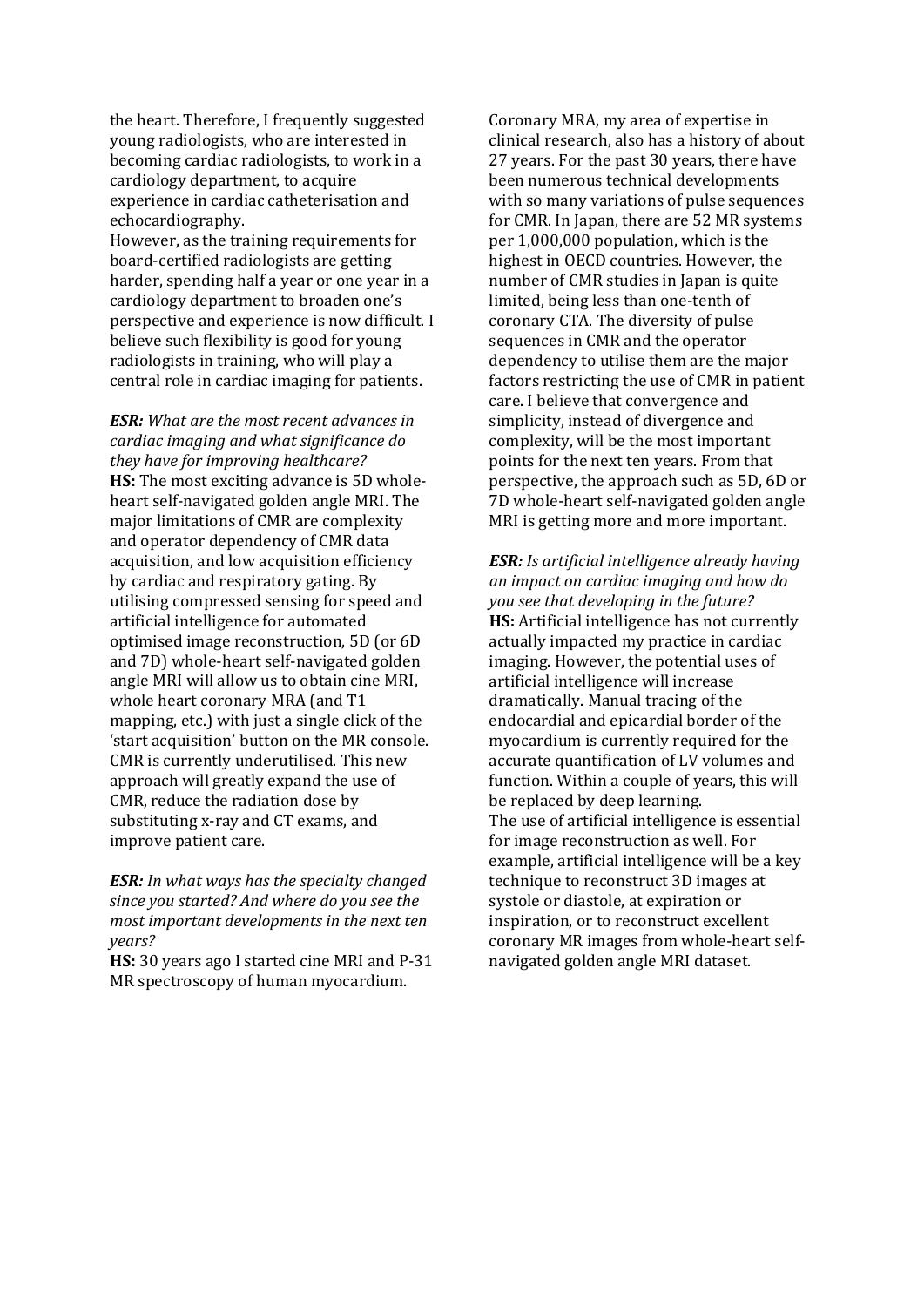the heart. Therefore, I frequently suggested young radiologists, who are interested in becoming cardiac radiologists, to work in a cardiology department, to acquire experience in cardiac catheterisation and echocardiography. 

However, as the training requirements for board-certified radiologists are getting harder, spending half a year or one year in a cardiology department to broaden one's perspective and experience is now difficult. I believe such flexibility is good for young radiologists in training, who will play a central role in cardiac imaging for patients.

*ESR: What are the most recent advances in cardiac imaging and what significance do they have for improving healthcare?* **HS:** The most exciting advance is 5D wholeheart self-navigated golden angle MRI. The major limitations of CMR are complexity and operator dependency of CMR data acquisition, and low acquisition efficiency by cardiac and respiratory gating. By utilising compressed sensing for speed and artificial intelligence for automated optimised image reconstruction, 5D (or 6D) and 7D) whole-heart self-navigated golden angle MRI will allow us to obtain cine MRI, whole heart coronary MRA (and T1 mapping, etc.) with just a single click of the 'start acquisition' button on the MR console. CMR is currently underutilised. This new approach will greatly expand the use of CMR, reduce the radiation dose by substituting x-ray and CT exams, and improve patient care.

*ESR: In what ways has the specialty changed since you started? And where do you see the most important developments in the next ten years?*

**HS:** 30 years ago I started cine MRI and P-31 MR spectroscopy of human myocardium.

Coronary MRA, my area of expertise in clinical research, also has a history of about 27 years. For the past 30 years, there have been numerous technical developments with so many variations of pulse sequences for CMR. In Japan, there are 52 MR systems per  $1,000,000$  population, which is the highest in OECD countries. However, the number of CMR studies in Japan is quite limited, being less than one-tenth of coronary CTA. The diversity of pulse sequences in CMR and the operator dependency to utilise them are the major factors restricting the use of CMR in patient care. I believe that convergence and simplicity, instead of divergence and complexity, will be the most important points for the next ten years. From that perspective, the approach such as 5D, 6D or 7D whole-heart self-navigated golden angle MRI is getting more and more important.

*ESR: Is artificial intelligence already having an impact on cardiac imaging and how do you see that developing in the future?* **HS:** Artificial intelligence has not currently actually impacted my practice in cardiac imaging. However, the potential uses of artificial intelligence will increase dramatically. Manual tracing of the endocardial and epicardial border of the myocardium is currently required for the accurate quantification of LV volumes and function. Within a couple of years, this will be replaced by deep learning. The use of artificial intelligence is essential for image reconstruction as well. For example, artificial intelligence will be a key technique to reconstruct 3D images at systole or diastole, at expiration or inspiration, or to reconstruct excellent coronary MR images from whole-heart selfnavigated golden angle MRI dataset.